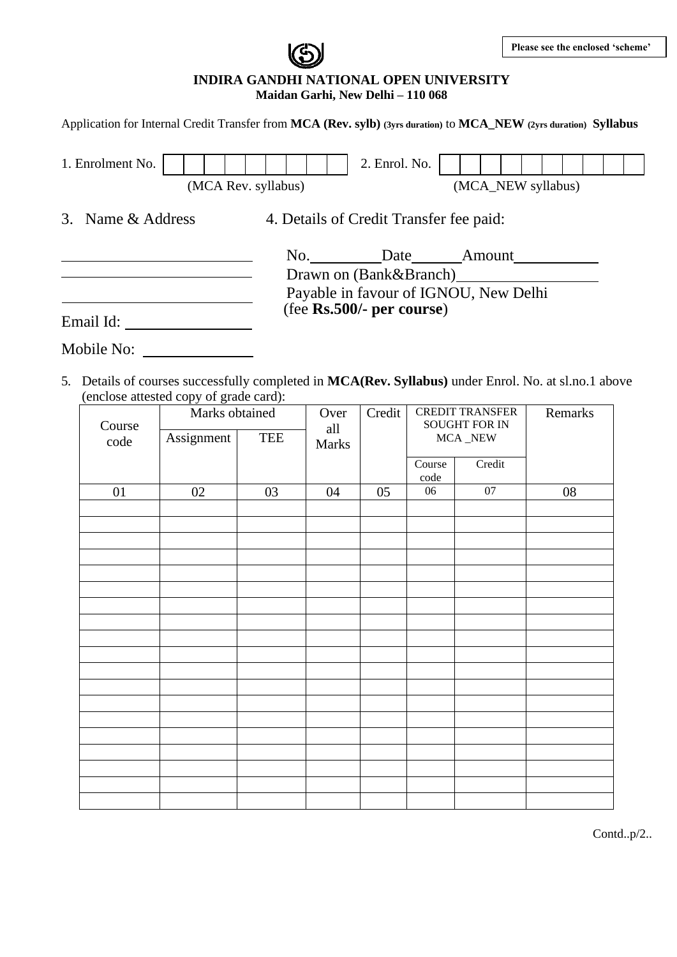# **INDIRA GANDHI NATIONAL OPEN UNIVERSITY Maidan Garhi, New Delhi – 110 068**

Application for Internal Credit Transfer from **MCA (Rev. sylb) (3yrs duration)** to **MCA\_NEW (2yrs duration) Syllabus**

| 1. Enrolment No.    | 2. Enrol. No.                                                                                                             |                    |  |  |  |
|---------------------|---------------------------------------------------------------------------------------------------------------------------|--------------------|--|--|--|
| (MCA Rev. syllabus) |                                                                                                                           | (MCA_NEW syllabus) |  |  |  |
| 3. Name & Address   | 4. Details of Credit Transfer fee paid:                                                                                   |                    |  |  |  |
| Email Id:           | No.<br>Date<br>Drawn on (Bank&Branch)<br>Payable in favour of IGNOU, New Delhi<br>$($ fee $\mathbf{Rs.}500/-$ per course) | Amount             |  |  |  |

Mobile No:

5. Details of courses successfully completed in **MCA(Rev. Syllabus)** under Enrol. No. at sl.no.1 above (enclose attested copy of grade card):

| Course<br>code | Marks obtained |            | Over<br>all | Credit | <b>CREDIT TRANSFER</b><br><b>SOUGHT FOR IN</b> |                 | Remarks |
|----------------|----------------|------------|-------------|--------|------------------------------------------------|-----------------|---------|
|                | Assignment     | <b>TEE</b> | Marks       |        | $\rm MCA\_NEW$                                 |                 |         |
|                |                |            |             |        | Course<br>$\operatorname{code}$                | Credit          |         |
| 01             | 02             | 03         | 04          | 05     | 06                                             | $\overline{07}$ | 08      |
|                |                |            |             |        |                                                |                 |         |
|                |                |            |             |        |                                                |                 |         |
|                |                |            |             |        |                                                |                 |         |
|                |                |            |             |        |                                                |                 |         |
|                |                |            |             |        |                                                |                 |         |
|                |                |            |             |        |                                                |                 |         |
|                |                |            |             |        |                                                |                 |         |
|                |                |            |             |        |                                                |                 |         |
|                |                |            |             |        |                                                |                 |         |
|                |                |            |             |        |                                                |                 |         |
|                |                |            |             |        |                                                |                 |         |
|                |                |            |             |        |                                                |                 |         |
|                |                |            |             |        |                                                |                 |         |
|                |                |            |             |        |                                                |                 |         |
|                |                |            |             |        |                                                |                 |         |
|                |                |            |             |        |                                                |                 |         |
|                |                |            |             |        |                                                |                 |         |
|                |                |            |             |        |                                                |                 |         |

Contd..p/2..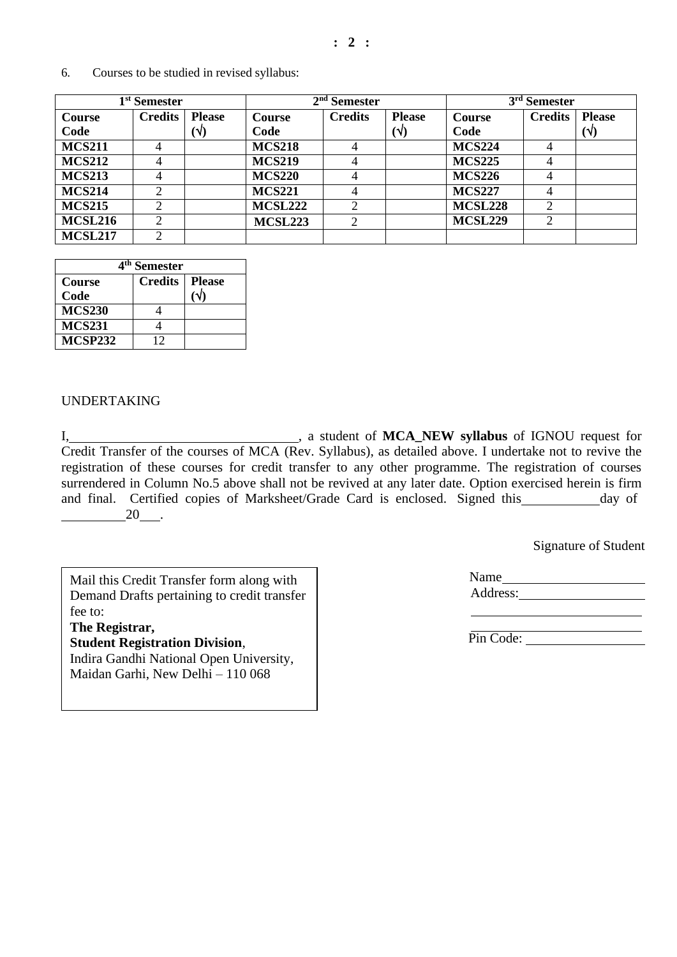**: 2 :**

| 1 <sup>st</sup> Semester |                |                | $2nd$ Semester |                |               | 3 <sup>rd</sup> Semester |                |               |
|--------------------------|----------------|----------------|----------------|----------------|---------------|--------------------------|----------------|---------------|
| <b>Course</b>            | <b>Credits</b> | <b>Please</b>  | Course         | <b>Credits</b> | <b>Please</b> | Course                   | <b>Credits</b> | <b>Please</b> |
| Code                     |                | $(\mathsf{V})$ | Code           |                | $(\sqrt{2})$  | Code                     |                | $(\sqrt{2})$  |
| <b>MCS211</b>            |                |                | <b>MCS218</b>  | 4              |               | <b>MCS224</b>            | 4              |               |
| <b>MCS212</b>            |                |                | <b>MCS219</b>  | 4              |               | <b>MCS225</b>            | 4              |               |
| <b>MCS213</b>            |                |                | <b>MCS220</b>  | 4              |               | <b>MCS226</b>            | 4              |               |
| <b>MCS214</b>            |                |                | <b>MCS221</b>  | 4              |               | <b>MCS227</b>            | 4              |               |
| <b>MCS215</b>            | ◠              |                | <b>MCSL222</b> | $\overline{2}$ |               | <b>MCSL228</b>           | $\overline{2}$ |               |
| <b>MCSL216</b>           | ↑              |                | <b>MCSL223</b> | $\overline{2}$ |               | <b>MCSL229</b>           | $\overline{2}$ |               |
| <b>MCSL217</b>           | ↑              |                |                |                |               |                          |                |               |

6. Courses to be studied in revised syllabus:

| 4 <sup>th</sup> Semester |                         |  |  |  |  |  |
|--------------------------|-------------------------|--|--|--|--|--|
| <b>Course</b>            | <b>Credits</b>   Please |  |  |  |  |  |
| Code                     |                         |  |  |  |  |  |
| <b>MCS230</b>            |                         |  |  |  |  |  |
| <b>MCS231</b>            |                         |  |  |  |  |  |
| <b>MCSP232</b>           | 12                      |  |  |  |  |  |

#### UNDERTAKING

I, , a student of **MCA\_NEW syllabus** of IGNOU request for Credit Transfer of the courses of MCA (Rev. Syllabus), as detailed above. I undertake not to revive the registration of these courses for credit transfer to any other programme. The registration of courses surrendered in Column No.5 above shall not be revived at any later date. Option exercised herein is firm and final. Certified copies of Marksheet/Grade Card is enclosed. Signed this \_\_\_\_\_\_\_ day of  $20$ .

Signature of Student

Mail this Credit Transfer form along with Demand Drafts pertaining to credit transfer fee to:

### **The Registrar,**

### **Student Registration Division**,

Indira Gandhi National Open University, Maidan Garhi, New Delhi – 110 068

Name Address:

Pin Code: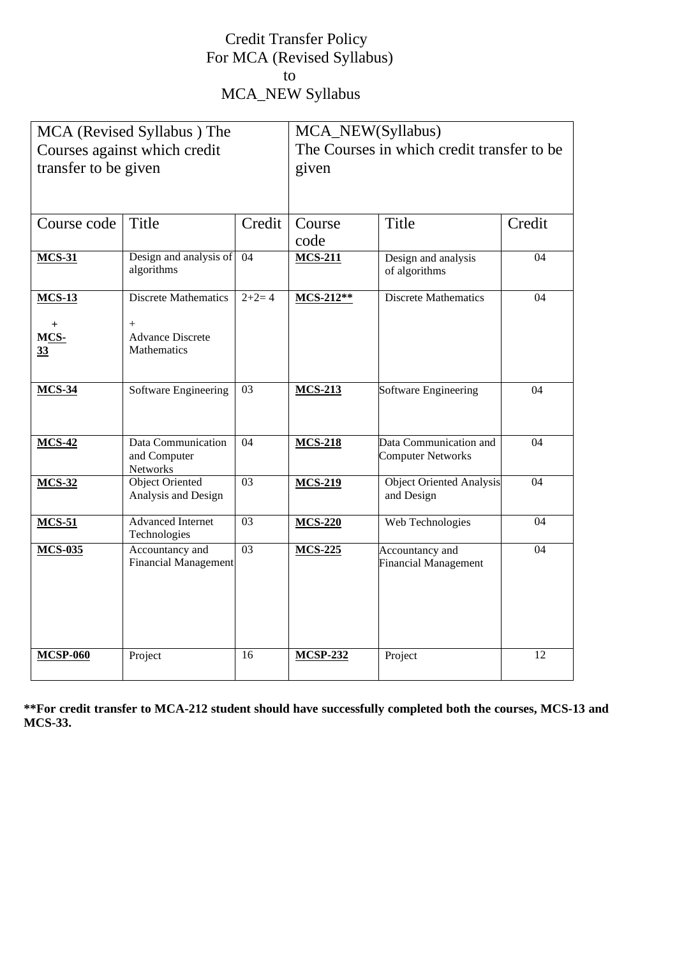## Credit Transfer Policy For MCA (Revised Syllabus) to MCA\_NEW Syllabus

| MCA (Revised Syllabus) The   |                                                |                 | MCA_NEW(Syllabus)                          |                                                |                 |  |
|------------------------------|------------------------------------------------|-----------------|--------------------------------------------|------------------------------------------------|-----------------|--|
| Courses against which credit |                                                |                 | The Courses in which credit transfer to be |                                                |                 |  |
| transfer to be given         |                                                |                 | given                                      |                                                |                 |  |
|                              |                                                |                 |                                            |                                                |                 |  |
|                              |                                                |                 |                                            |                                                |                 |  |
| Course code                  | Title                                          | Credit          | Course                                     | Title                                          | Credit          |  |
|                              |                                                |                 | code                                       |                                                |                 |  |
| <b>MCS-31</b>                | Design and analysis of                         | $\overline{04}$ | <b>MCS-211</b>                             | Design and analysis                            | $\overline{04}$ |  |
|                              | algorithms                                     |                 |                                            | of algorithms                                  |                 |  |
| <b>MCS-13</b>                | <b>Discrete Mathematics</b>                    | $2+2=4$         | MCS-212**                                  | <b>Discrete Mathematics</b>                    | 04              |  |
|                              | $+$                                            |                 |                                            |                                                |                 |  |
| $\mathrm{+}$<br>MCS-         | <b>Advance Discrete</b>                        |                 |                                            |                                                |                 |  |
| 33                           | <b>Mathematics</b>                             |                 |                                            |                                                |                 |  |
|                              |                                                |                 |                                            |                                                |                 |  |
| <b>MCS-34</b>                | Software Engineering                           | 03              | <b>MCS-213</b>                             | Software Engineering                           | 04              |  |
|                              |                                                |                 |                                            |                                                |                 |  |
|                              |                                                |                 |                                            |                                                |                 |  |
| <b>MCS-42</b>                | Data Communication                             | 04              | <b>MCS-218</b>                             | Data Communication and                         | 04              |  |
|                              | and Computer<br>Networks                       |                 |                                            | <b>Computer Networks</b>                       |                 |  |
| <b>MCS-32</b>                | Object Oriented                                | 03              | <b>MCS-219</b>                             | <b>Object Oriented Analysis</b>                | 04              |  |
|                              | Analysis and Design                            |                 |                                            | and Design                                     |                 |  |
| $MCS-51$                     | <b>Advanced Internet</b>                       | $\overline{03}$ | <b>MCS-220</b>                             | Web Technologies                               | 04              |  |
|                              | Technologies                                   |                 |                                            |                                                |                 |  |
| <b>MCS-035</b>               | Accountancy and<br><b>Financial Management</b> | 03              | <b>MCS-225</b>                             | Accountancy and<br><b>Financial Management</b> | 04              |  |
|                              |                                                |                 |                                            |                                                |                 |  |
|                              |                                                |                 |                                            |                                                |                 |  |
|                              |                                                |                 |                                            |                                                |                 |  |
|                              |                                                |                 |                                            |                                                |                 |  |
|                              |                                                |                 |                                            |                                                | 12              |  |
| <b>MCSP-060</b>              | Project                                        | 16              | <b>MCSP-232</b>                            | Project                                        |                 |  |
|                              |                                                |                 |                                            |                                                |                 |  |

**\*\*For credit transfer to MCA-212 student should have successfully completed both the courses, MCS-13 and MCS-33.**